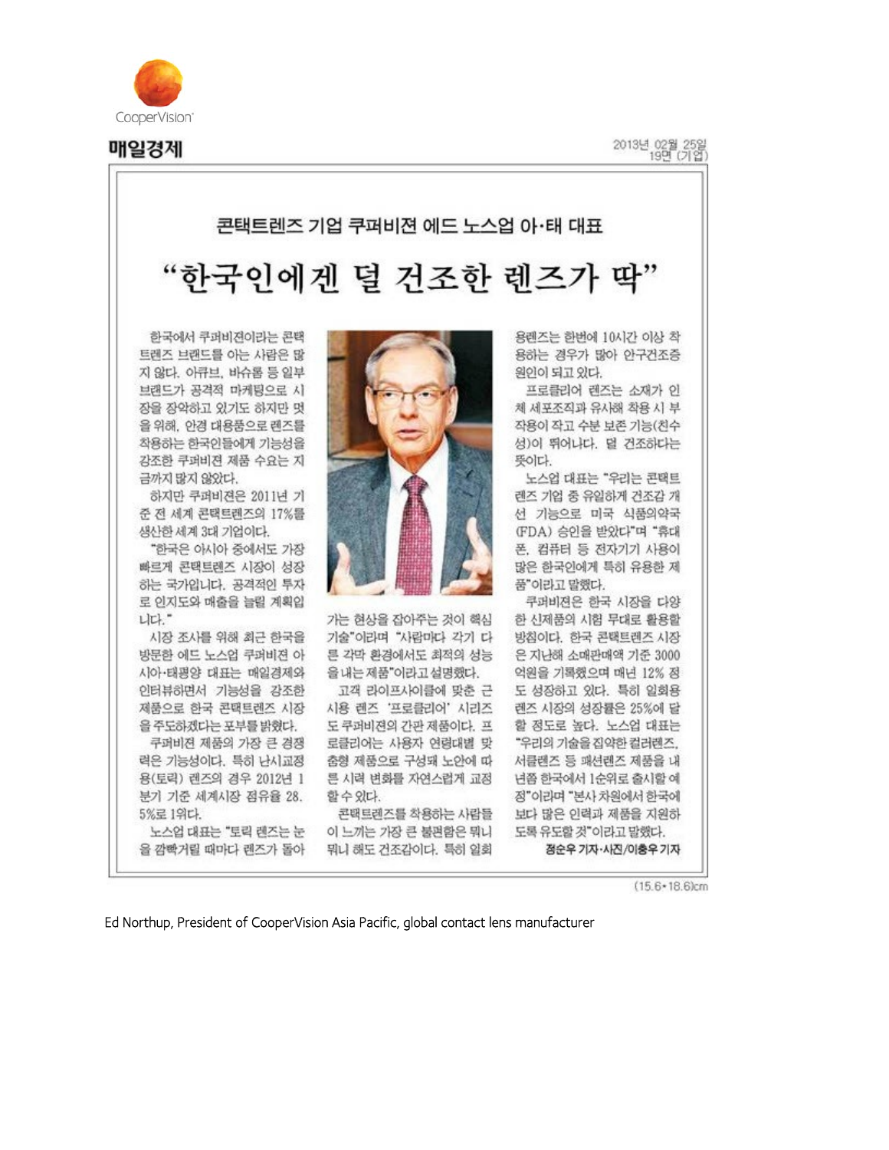

매일경제

2013년 02월 25일

## 콘택트렌즈 기업 쿠퍼비젼 에드 노스업 아·태 대표 "한국인에겐 덜 건조한 렌즈가 딱"

한국에서 쿠퍼비젼이라는 콘택 트랜즈 브랜드를 아는 사람은 많 지 않다. 아큐브, 바슈롤 등 일부 브랜드가 공격적 마케팅으로 시 장을 장악하고 있기도 하지만 멋 을 위해, 안경 대용품으로 렌즈를 착용하는 한국인들에게 기능성을 강조한 쿠퍼비젼 제품 수요는 지 금까지 많지 않았다.

하지만 쿠퍼비젼은 2011년 기 준 전 세계 콘택트랜즈의 17%를 생산한 세계 3대 기업이다.

"한국은 아시아 중에서도 가장 빠르게 콘택트렌즈 시장이 성장 하는 국가입니다. 공격적인 투자 로 인지도와 매출을 늘릴 계획입 니다."

시장 조사를 위해 최근 한국을 방문한 에드 노스업 쿠퍼비젼 아 시아·태평양 대표는 매일경제와 인터뷰하면서 기능성을 강조한 제품으로 한국 콘택트렌즈 시장 을 주도하겠다는 포부를 밝혔다.

쿠퍼비젼 제품의 가장 큰 경쟁 력은 기능성이다. 특히 난시교정 용(토릭) 랜즈의 경우 2012년 1 분기 기준 세계시장 점유율 28. 5%로 1위다.

노스업 대표는 "토릭 렌즈는 눈 을 깜빡거릴 때마다 렌즈가 돌아



가는 현상을 잡아주는 것이 핵심 기술"이라며 "사람마다 각기 다 른 각막 환경에서도 최적의 성능 을 내는 제품"이라고 설명했다.

고객 라이프사이클에 맞춘 근 시용 렌즈 '프로클리어' 시리즈 도 쿠퍼비젼의 간관 제품이다. 프 로클리어는 사용자 연령대별 맞 춤형 제품으로 구성돼 노안에 따 른 시력 변화를 자연스럽게 교정 할 수 있다.

콘택트렌즈를 착용하는 사람들 이 느끼는 가장 큰 불편함은 뭐니 뭐니 해도 건조감이다. 특히 일회

용렌즈는 한번에 10시간 이상 착 용하는 경우가 많아 안구건조증 원인이 되고 있다.

프로클리어 랜즈는 소재가 인 체 세포조직과 유사해 착용 시 부 작용이 작고 수분 보존 기능(친수 성)이 뛰어나다. 덜 건조하다는 뜻이다.

노스업 대표는 "우리는 콘택트 렌즈 기업 중 유일하게 건조감 개 선 기능으로 미국 식품의약국 (FDA) 승인을 받았다"며 "휴대 폰, 컴퓨터 등 전자기기 사용이 많은 한국인에게 특히 유용한 제 품"이라고 말했다.

쿠과비젼은 한국 시장을 다양 한 신제품의 시험 무대로 활용할 방침이다. 한국 콘택트렌즈 시장 은 지난해 소매관매액 기준 3000 억원을 기록했으며 매년 12% 정 도 성장하고 있다. 특히 일회용 렌즈 시장의 성장률은 25%에 달 할 정도로 높다. 노스업 대표는 "우리의 기술을 집약한 컬러랜즈, 서클랜즈 등 패션렌즈 제품을 내 년쯤 한국에서 1순위로 출시할 예 정"이라며 "본사 차원에서 한국에 보다 많은 인력과 제품을 지원하 도록 유도할 것"이라고 말했다. 점순우 기자·사진/이층우 기자

 $(15.6*18.6)$ cm

Ed Northup, President of CooperVision Asia Pacific, global contact lens manufacturer